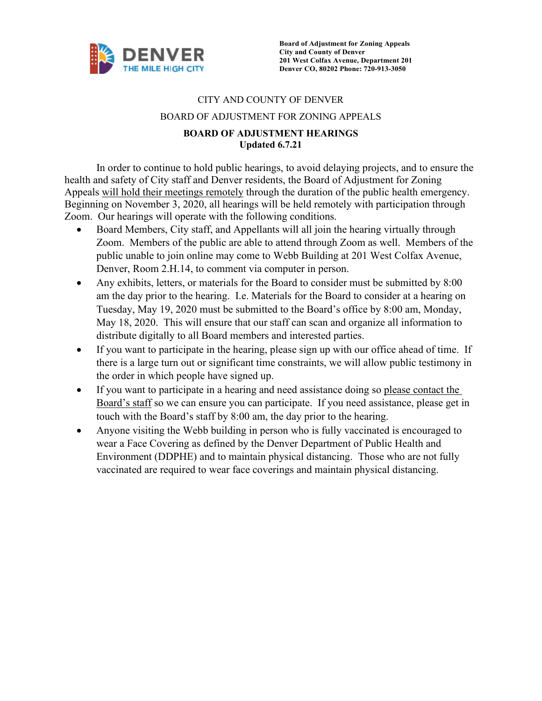

## CITY AND COUNTY OF DENVER

BOARD OF ADJUSTMENT FOR ZONING APPEALS

## **BOARD OF ADJUSTMENT HEARINGS Updated 6.7.21**

In order to continue to hold public hearings, to avoid delaying projects, and to ensure the health and safety of City staff and Denver residents, the Board of Adjustment for Zoning Appeals will hold their meetings remotely through the duration of the public health emergency. Beginning on November 3, 2020, all hearings will be held remotely with participation through Zoom. Our hearings will operate with the following conditions.

- Board Members, City staff, and Appellants will all join the hearing virtually through Zoom. Members of the public are able to attend through Zoom as well. Members of the public unable to join online may come to Webb Building at 201 West Colfax Avenue, Denver, Room 2.H.14, to comment via computer in person.
- Any exhibits, letters, or materials for the Board to consider must be submitted by 8:00 am the day prior to the hearing. I.e. Materials for the Board to consider at a hearing on Tuesday, May 19, 2020 must be submitted to the Board's office by 8:00 am, Monday, May 18, 2020. This will ensure that our staff can scan and organize all information to distribute digitally to all Board members and interested parties.
- If you want to participate in the hearing, please sign up with our office ahead of time. If there is a large turn out or significant time constraints, we will allow public testimony in the order in which people have signed up.
- If you want to participate in a hearing and need assistance doing so please contact the Board's staff so we can ensure you can participate. If you need assistance, please get in touch with the Board's staff by 8:00 am, the day prior to the hearing.
- Anyone visiting the Webb building in person who is fully vaccinated is encouraged to wear a Face Covering as defined by the Denver Department of Public Health and Environment (DDPHE) and to maintain physical distancing. Those who are not fully vaccinated are required to wear face coverings and maintain physical distancing.